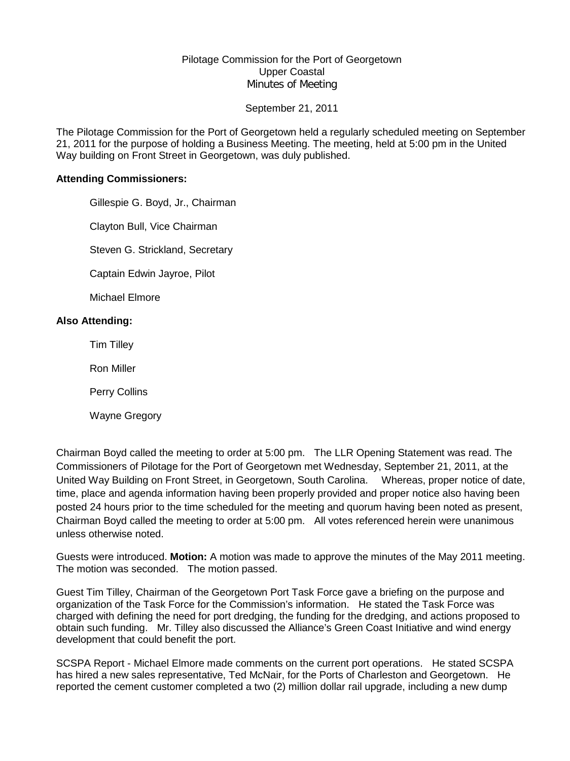## Pilotage Commission for the Port of Georgetown Upper Coastal Minutes of Meeting

September 21, 2011

The Pilotage Commission for the Port of Georgetown held a regularly scheduled meeting on September 21, 2011 for the purpose of holding a Business Meeting. The meeting, held at 5:00 pm in the United Way building on Front Street in Georgetown, was duly published.

## **Attending Commissioners:**

Gillespie G. Boyd, Jr., Chairman

Clayton Bull, Vice Chairman

Steven G. Strickland, Secretary

Captain Edwin Jayroe, Pilot

Michael Elmore

## **Also Attending:**

Tim Tilley

Ron Miller

Perry Collins

Wayne Gregory

Chairman Boyd called the meeting to order at 5:00 pm. The LLR Opening Statement was read. The Commissioners of Pilotage for the Port of Georgetown met Wednesday, September 21, 2011, at the United Way Building on Front Street, in Georgetown, South Carolina. Whereas, proper notice of date, time, place and agenda information having been properly provided and proper notice also having been posted 24 hours prior to the time scheduled for the meeting and quorum having been noted as present, Chairman Boyd called the meeting to order at 5:00 pm. All votes referenced herein were unanimous unless otherwise noted.

Guests were introduced. **Motion:** A motion was made to approve the minutes of the May 2011 meeting. The motion was seconded. The motion passed.

Guest Tim Tilley, Chairman of the Georgetown Port Task Force gave a briefing on the purpose and organization of the Task Force for the Commission's information. He stated the Task Force was charged with defining the need for port dredging, the funding for the dredging, and actions proposed to obtain such funding. Mr. Tilley also discussed the Alliance's Green Coast Initiative and wind energy development that could benefit the port.

SCSPA Report - Michael Elmore made comments on the current port operations. He stated SCSPA has hired a new sales representative, Ted McNair, for the Ports of Charleston and Georgetown. He reported the cement customer completed a two (2) million dollar rail upgrade, including a new dump